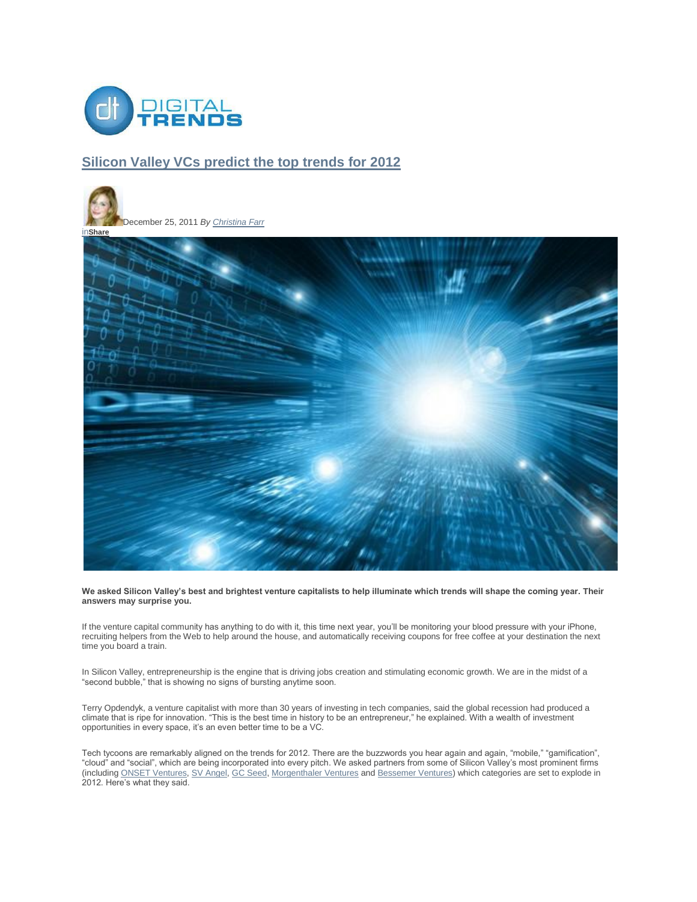

#### **Silicon Valley VCs predict the top trends for 2012**





**We asked Silicon Valley's best and brightest venture capitalists to help illuminate which trends will shape the coming year. Their answers may surprise you.**

If the venture capital community has anything to do with it, this time next year, you"ll be monitoring your blood pressure with your iPhone, recruiting helpers from the Web to help around the house, and automatically receiving coupons for free coffee at your destination the next time you board a train.

In Silicon Valley, entrepreneurship is the engine that is driving jobs creation and stimulating economic growth. We are in the midst of a "second bubble," that is showing no signs of bursting anytime soon.

Terry Opdendyk, a venture capitalist with more than 30 years of investing in tech companies, said the global recession had produced a climate that is ripe for innovation. "This is the best time in history to be an entrepreneur," he explained. With a wealth of investment opportunities in every space, it's an even better time to be a VC.

Tech tycoons are remarkably aligned on the trends for 2012. There are the buzzwords you hear again and again, "mobile," "gamification", "cloud" and "social", which are being incorporated into every pitch. We asked partners from some of Silicon Valley"s most prominent firms (including ONSET Ventures, SV Angel, GC Seed, Morgenthaler Ventures and Bessemer Ventures) which categories are set to explode in 2012. Here"s what they said.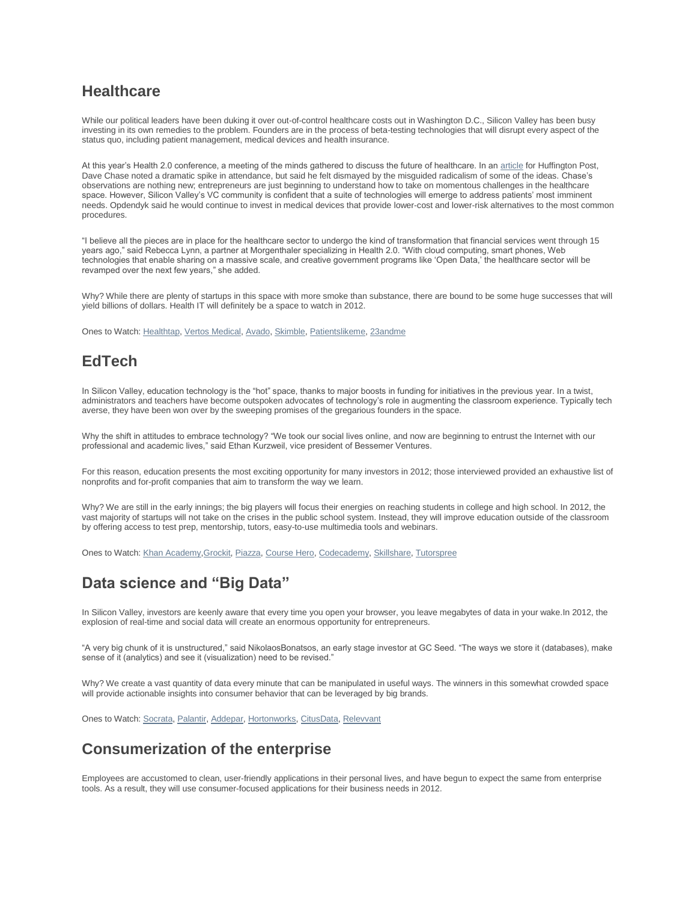### **Healthcare**

While our political leaders have been duking it over out-of-control healthcare costs out in Washington D.C., Silicon Valley has been busy investing in its own remedies to the problem. Founders are in the process of beta-testing technologies that will disrupt every aspect of the status quo, including patient management, medical devices and health insurance.

At this year"s Health 2.0 conference, a meeting of the minds gathered to discuss the future of healthcare. In an article for Huffington Post, Dave Chase noted a dramatic spike in attendance, but said he felt dismayed by the misguided radicalism of some of the ideas. Chase"s observations are nothing new; entrepreneurs are just beginning to understand how to take on momentous challenges in the healthcare space. However, Silicon Valley"s VC community is confident that a suite of technologies will emerge to address patients" most imminent needs. Opdendyk said he would continue to invest in medical devices that provide lower-cost and lower-risk alternatives to the most common procedures.

"I believe all the pieces are in place for the healthcare sector to undergo the kind of transformation that financial services went through 15 years ago," said Rebecca Lynn, a partner at Morgenthaler specializing in Health 2.0. "With cloud computing, smart phones, Web technologies that enable sharing on a massive scale, and creative government programs like "Open Data," the healthcare sector will be revamped over the next few years," she added.

Why? While there are plenty of startups in this space with more smoke than substance, there are bound to be some huge successes that will yield billions of dollars. Health IT will definitely be a space to watch in 2012.

Ones to Watch: Healthtap, Vertos Medical, Avado, Skimble, Patientslikeme, 23andme

## **EdTech**

In Silicon Valley, education technology is the "hot" space, thanks to major boosts in funding for initiatives in the previous year. In a twist, administrators and teachers have become outspoken advocates of technology"s role in augmenting the classroom experience. Typically tech averse, they have been won over by the sweeping promises of the gregarious founders in the space.

Why the shift in attitudes to embrace technology? "We took our social lives online, and now are beginning to entrust the Internet with our professional and academic lives," said Ethan Kurzweil, vice president of Bessemer Ventures.

For this reason, education presents the most exciting opportunity for many investors in 2012; those interviewed provided an exhaustive list of nonprofits and for-profit companies that aim to transform the way we learn.

Why? We are still in the early innings; the big players will focus their energies on reaching students in college and high school. In 2012, the vast majority of startups will not take on the crises in the public school system. Instead, they will improve education outside of the classroom by offering access to test prep, mentorship, tutors, easy-to-use multimedia tools and webinars.

Ones to Watch: Khan Academy,Grockit, Piazza, Course Hero, Codecademy, Skillshare, Tutorspree

## **Data science and "Big Data"**

In Silicon Valley, investors are keenly aware that every time you open your browser, you leave megabytes of data in your wake.In 2012, the explosion of real-time and social data will create an enormous opportunity for entrepreneurs.

"A very big chunk of it is unstructured," said NikolaosBonatsos, an early stage investor at GC Seed. "The ways we store it (databases), make sense of it (analytics) and see it (visualization) need to be revised."

Why? We create a vast quantity of data every minute that can be manipulated in useful ways. The winners in this somewhat crowded space will provide actionable insights into consumer behavior that can be leveraged by big brands.

Ones to Watch: Socrata, Palantir, Addepar, Hortonworks, CitusData, Relevvant

# **Consumerization of the enterprise**

Employees are accustomed to clean, user-friendly applications in their personal lives, and have begun to expect the same from enterprise tools. As a result, they will use consumer-focused applications for their business needs in 2012.